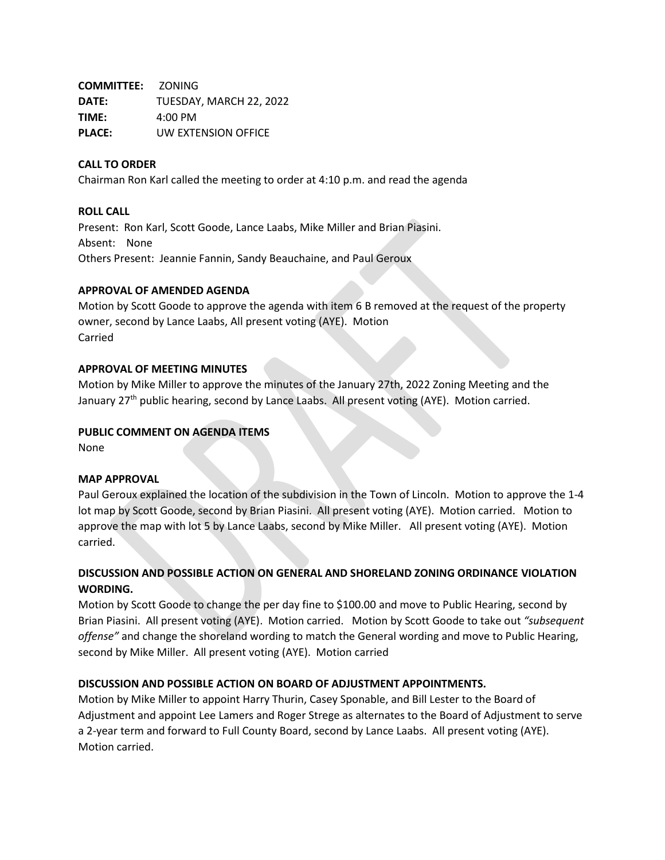**COMMITTEE:** ZONING **DATE:** TUESDAY, MARCH 22, 2022 **TIME:** 4:00 PM **PLACE:** UW EXTENSION OFFICE

# **CALL TO ORDER**

Chairman Ron Karl called the meeting to order at 4:10 p.m. and read the agenda

## **ROLL CALL**

Present: Ron Karl, Scott Goode, Lance Laabs, Mike Miller and Brian Piasini. Absent: None Others Present: Jeannie Fannin, Sandy Beauchaine, and Paul Geroux

## **APPROVAL OF AMENDED AGENDA**

Motion by Scott Goode to approve the agenda with item 6 B removed at the request of the property owner, second by Lance Laabs, All present voting (AYE). Motion Carried

## **APPROVAL OF MEETING MINUTES**

Motion by Mike Miller to approve the minutes of the January 27th, 2022 Zoning Meeting and the January 27<sup>th</sup> public hearing, second by Lance Laabs. All present voting (AYE). Motion carried.

### **PUBLIC COMMENT ON AGENDA ITEMS**

None

#### **MAP APPROVAL**

Paul Geroux explained the location of the subdivision in the Town of Lincoln. Motion to approve the 1-4 lot map by Scott Goode, second by Brian Piasini. All present voting (AYE). Motion carried. Motion to approve the map with lot 5 by Lance Laabs, second by Mike Miller. All present voting (AYE). Motion carried.

# **DISCUSSION AND POSSIBLE ACTION ON GENERAL AND SHORELAND ZONING ORDINANCE VIOLATION WORDING.**

Motion by Scott Goode to change the per day fine to \$100.00 and move to Public Hearing, second by Brian Piasini. All present voting (AYE). Motion carried. Motion by Scott Goode to take out *"subsequent offense"* and change the shoreland wording to match the General wording and move to Public Hearing, second by Mike Miller. All present voting (AYE). Motion carried

# **DISCUSSION AND POSSIBLE ACTION ON BOARD OF ADJUSTMENT APPOINTMENTS.**

Motion by Mike Miller to appoint Harry Thurin, Casey Sponable, and Bill Lester to the Board of Adjustment and appoint Lee Lamers and Roger Strege as alternates to the Board of Adjustment to serve a 2-year term and forward to Full County Board, second by Lance Laabs. All present voting (AYE). Motion carried.